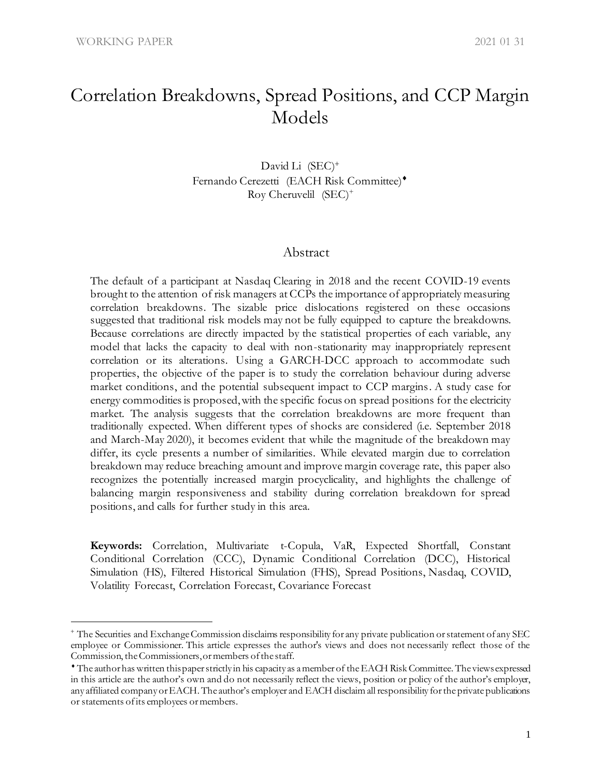# Correlation Breakdowns, Spread Positions, and CCP Margin Models

David Li (SEC)<sup>+</sup> Fernando Cerezetti (EACH Risk Committee)\* Roy Cheruvelil (SEC)<sup>+</sup>

#### Abstract

The default of a participant at Nasdaq Clearing in 2018 and the recent COVID-19 events brought to the attention of risk managers at CCPs the importance of appropriately measuring correlation breakdowns. The sizable price dislocations registered on these occasions suggested that traditional risk models may not be fully equipped to capture the breakdowns. Because correlations are directly impacted by the statistical properties of each variable, any model that lacks the capacity to deal with non-stationarity may inappropriately represent correlation or its alterations. Using a GARCH-DCC approach to accommodate such properties, the objective of the paper is to study the correlation behaviour during adverse market conditions, and the potential subsequent impact to CCP margins. A study case for energy commodities is proposed, with the specific focus on spread positions for the electricity market. The analysis suggests that the correlation breakdowns are more frequent than traditionally expected. When different types of shocks are considered (i.e. September 2018 and March-May 2020), it becomes evident that while the magnitude of the breakdown may differ, its cycle presents a number of similarities. While elevated margin due to correlation breakdown may reduce breaching amount and improve margin coverage rate, this paper also recognizes the potentially increased margin procyclicality, and highlights the challenge of balancing margin responsiveness and stability during correlation breakdown for spread positions, and calls for further study in this area.

**Keywords:** Correlation, Multivariate t-Copula, VaR, Expected Shortfall, Constant Conditional Correlation (CCC), Dynamic Conditional Correlation (DCC), Historical Simulation (HS), Filtered Historical Simulation (FHS), Spread Positions, Nasdaq, COVID, Volatility Forecast, Correlation Forecast, Covariance Forecast

<sup>+</sup> The Securities and Exchange Commission disclaims responsibility for any private publication or statement of any SEC employee or Commissioner. This article expresses the author's views and does not necessarily reflect those of the Commission, the Commissioners, or members of the staff.

The author has written this paper strictly in his capacity as a member of theEACH Risk Committee. The views expressed in this article are the author's own and do not necessarily reflect the views, position or policy of the author's employer, any affiliated company or EACH. The author's employer and EACH disclaim all responsibility for the private publications or statements of its employees or members.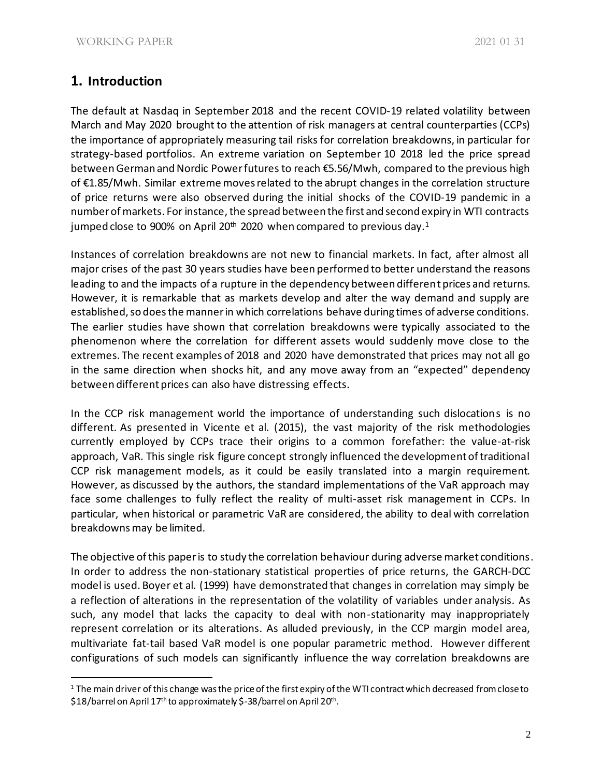# **1. Introduction**

The default at Nasdaq in September 2018 and the recent COVID-19 related volatility between March and May 2020 brought to the attention of risk managers at central counterparties (CCPs) the importance of appropriately measuring tail risks for correlation breakdowns, in particular for strategy-based portfolios. An extreme variation on September 10 2018 led the price spread between German and Nordic Power futures to reach €5.56/Mwh, compared to the previous high of €1.85/Mwh. Similar extreme moves related to the abrupt changes in the correlation structure of price returns were also observed during the initial shocks of the COVID-19 pandemic in a number of markets. For instance, the spread between the first and second expiry in WTI contracts jumped close to 900% on April 20<sup>th</sup> 2020 when compared to previous day.<sup>1</sup>

Instances of correlation breakdowns are not new to financial markets. In fact, after almost all major crises of the past 30 years studies have been performed to better understand the reasons leading to and the impacts of a rupture in the dependency between different prices and returns. However, it is remarkable that as markets develop and alter the way demand and supply are established, so does the manner in which correlations behave during times of adverse conditions. The earlier studies have shown that correlation breakdowns were typically associated to the phenomenon where the correlation for different assets would suddenly move close to the extremes. The recent examples of 2018 and 2020 have demonstrated that prices may not all go in the same direction when shocks hit, and any move away from an "expected" dependency between different prices can also have distressing effects.

In the CCP risk management world the importance of understanding such dislocations is no different. As presented in Vicente et al. (2015), the vast majority of the risk methodologies currently employed by CCPs trace their origins to a common forefather: the value-at-risk approach, VaR. This single risk figure concept strongly influenced the development of traditional CCP risk management models, as it could be easily translated into a margin requirement. However, as discussed by the authors, the standard implementations of the VaR approach may face some challenges to fully reflect the reality of multi-asset risk management in CCPs. In particular, when historical or parametric VaR are considered, the ability to deal with correlation breakdowns may be limited.

The objective of this paper is to study the correlation behaviour during adverse market conditions. In order to address the non-stationary statistical properties of price returns, the GARCH-DCC model is used. Boyer et al. (1999) have demonstrated that changes in correlation may simply be a reflection of alterations in the representation of the volatility of variables under analysis. As such, any model that lacks the capacity to deal with non-stationarity may inappropriately represent correlation or its alterations. As alluded previously, in the CCP margin model area, multivariate fat-tail based VaR model is one popular parametric method. However different configurations of such models can significantly influence the way correlation breakdowns are

<sup>&</sup>lt;sup>1</sup> The main driver of this change was the price of the first expiry of the WTI contract which decreased from close to \$18/barrel on April 17th to approximately \$-38/barrel on April 20th .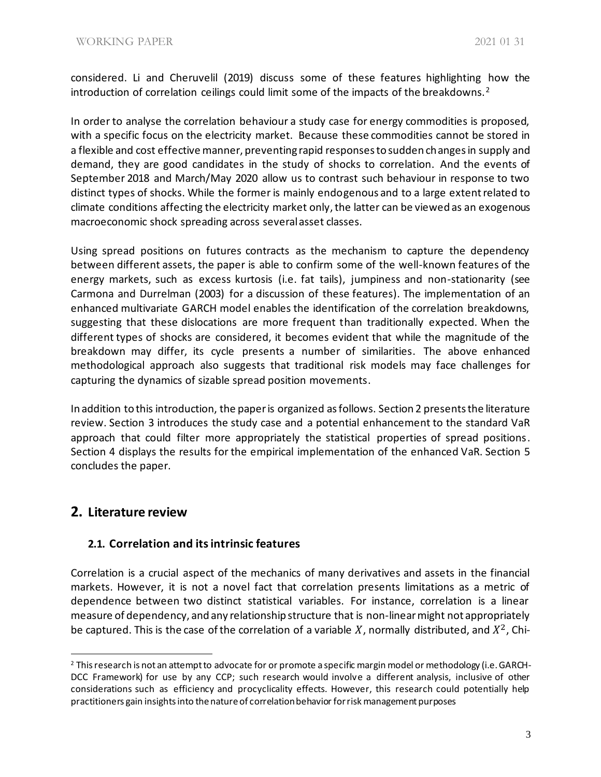considered. Li and Cheruvelil (2019) discuss some of these features highlighting how the introduction of correlation ceilings could limit some of the impacts of the breakdowns.<sup>2</sup>

In order to analyse the correlation behaviour a study case for energy commodities is proposed, with a specific focus on the electricity market. Because these commodities cannot be stored in a flexible and cost effective manner, preventing rapid responses to sudden changes in supply and demand, they are good candidates in the study of shocks to correlation. And the events of September 2018 and March/May 2020 allow us to contrast such behaviour in response to two distinct types of shocks. While the former is mainly endogenous and to a large extent related to climate conditions affecting the electricity market only, the latter can be viewed as an exogenous macroeconomic shock spreading across several asset classes.

Using spread positions on futures contracts as the mechanism to capture the dependency between different assets, the paper is able to confirm some of the well-known features of the energy markets, such as excess kurtosis (i.e. fat tails), jumpiness and non-stationarity (see Carmona and Durrelman (2003) for a discussion of these features). The implementation of an enhanced multivariate GARCH model enables the identification of the correlation breakdowns, suggesting that these dislocations are more frequent than traditionally expected. When the different types of shocks are considered, it becomes evident that while the magnitude of the breakdown may differ, its cycle presents a number of similarities. The above enhanced methodological approach also suggests that traditional risk models may face challenges for capturing the dynamics of sizable spread position movements.

In addition to this introduction, the paper is organized as follows. Section 2 presents the literature review. Section 3 introduces the study case and a potential enhancement to the standard VaR approach that could filter more appropriately the statistical properties of spread positions. Section 4 displays the results for the empirical implementation of the enhanced VaR. Section 5 concludes the paper.

# **2. Literature review**

### **2.1. Correlation and its intrinsic features**

Correlation is a crucial aspect of the mechanics of many derivatives and assets in the financial markets. However, it is not a novel fact that correlation presents limitations as a metric of dependence between two distinct statistical variables. For instance, correlation is a linear measure of dependency, and any relationship structure that is non-linearmight not appropriately be captured. This is the case of the correlation of a variable X, normally distributed, and  $X^2$ , Chi-

<sup>&</sup>lt;sup>2</sup> This research is not an attempt to advocate for or promote a specific margin model or methodology (i.e. GARCH-DCC Framework) for use by any CCP; such research would involve a different analysis, inclusive of other considerations such as efficiency and procyclicality effects. However, this research could potentially help practitioners gain insights into the nature of correlation behavior for risk management purposes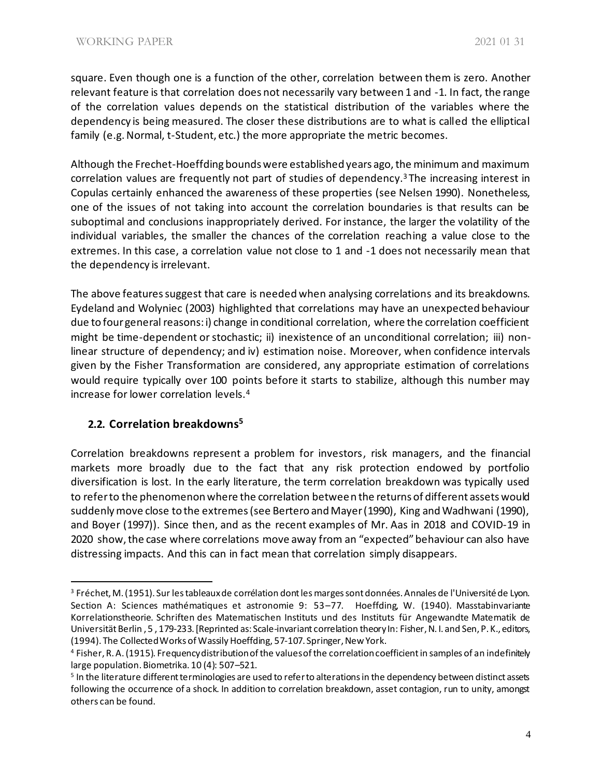square. Even though one is a function of the other, correlation between them is zero. Another relevant feature is that correlation does not necessarily vary between 1 and -1. In fact, the range of the correlation values depends on the statistical distribution of the variables where the dependency is being measured. The closer these distributions are to what is called the elliptical family (e.g. Normal, t-Student, etc.) the more appropriate the metric becomes.

Although the Frechet-Hoeffding bounds were established years ago, the minimum and maximum correlation values are frequently not part of studies of dependency.<sup>3</sup> The increasing interest in Copulas certainly enhanced the awareness of these properties (see Nelsen 1990). Nonetheless, one of the issues of not taking into account the correlation boundaries is that results can be suboptimal and conclusions inappropriately derived. For instance, the larger the volatility of the individual variables, the smaller the chances of the correlation reaching a value close to the extremes. In this case, a correlation value not close to 1 and -1 does not necessarily mean that the dependency is irrelevant.

The above features suggest that care is needed when analysing correlations and its breakdowns. Eydeland and Wolyniec (2003) highlighted that correlations may have an unexpected behaviour due to four general reasons: i) change in conditional correlation, where the correlation coefficient might be time-dependent or stochastic; ii) inexistence of an unconditional correlation; iii) nonlinear structure of dependency; and iv) estimation noise. Moreover, when confidence intervals given by the Fisher Transformation are considered, any appropriate estimation of correlations would require typically over 100 points before it starts to stabilize, although this number may increase for lower correlation levels.<sup>4</sup>

### **2.2. Correlation breakdowns<sup>5</sup>**

Correlation breakdowns represent a problem for investors, risk managers, and the financial markets more broadly due to the fact that any risk protection endowed by portfolio diversification is lost. In the early literature, the term correlation breakdown was typically used to refer to the phenomenon where the correlation between the returns of different assets would suddenly move close to the extremes(see Bertero and Mayer (1990), King and Wadhwani (1990), and Boyer (1997)). Since then, and as the recent examples of Mr. Aas in 2018 and COVID-19 in 2020 show, the case where correlations move away from an "expected" behaviour can also have distressing impacts. And this can in fact mean that correlation simply disappears.

<sup>3</sup> Fréchet, M. (1951). Sur les tableaux de corrélation dont les marges sont données. Annales de l'Université de Lyon. Section A: Sciences mathématiques et astronomie 9: 53–77. Hoeffding, W. (1940). Masstabinvariante Korrelationstheorie. Schriften des Matematischen Instituts und des Instituts für Angewandte Matematik de Universität Berlin , 5 , 179-233. [Reprinted as: Scale-invariant correlation theoryIn: Fisher, N. I. and Sen, P. K., editors, (1994). The Collected Works of Wassily Hoeffding, 57-107. Springer, New York.

<sup>4</sup> Fisher, R. A. (1915). Frequency distribution of the values of the correlation coefficient in samples of an indefinitely large population. Biometrika. 10 (4): 507–521.

<sup>5</sup> In the literature different terminologies are used to refer to alterations in the dependency between distinct assets following the occurrence of a shock. In addition to correlation breakdown, asset contagion, run to unity, amongst others can be found.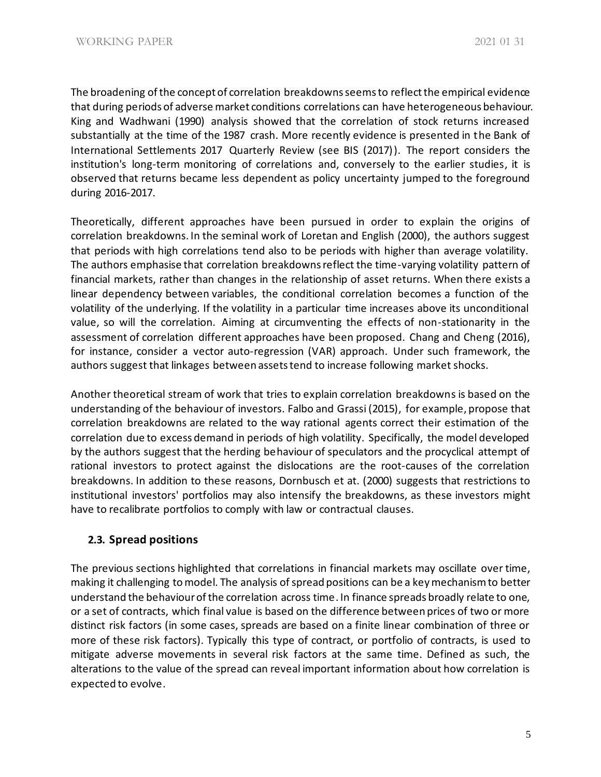The broadening of the concept of correlation breakdowns seems to reflect the empirical evidence that during periods of adverse market conditions correlations can have heterogeneous behaviour. King and Wadhwani (1990) analysis showed that the correlation of stock returns increased substantially at the time of the 1987 crash. More recently evidence is presented in the Bank of International Settlements 2017 Quarterly Review (see BIS (2017)). The report considers the institution's long-term monitoring of correlations and, conversely to the earlier studies, it is observed that returns became less dependent as policy uncertainty jumped to the foreground during 2016-2017.

Theoretically, different approaches have been pursued in order to explain the origins of correlation breakdowns. In the seminal work of Loretan and English (2000), the authors suggest that periods with high correlations tend also to be periods with higher than average volatility. The authors emphasise that correlation breakdowns reflect the time-varying volatility pattern of financial markets, rather than changes in the relationship of asset returns. When there exists a linear dependency between variables, the conditional correlation becomes a function of the volatility of the underlying. If the volatility in a particular time increases above its unconditional value, so will the correlation. Aiming at circumventing the effects of non-stationarity in the assessment of correlation different approaches have been proposed. Chang and Cheng (2016), for instance, consider a vector auto-regression (VAR) approach. Under such framework, the authors suggest that linkages between assets tend to increase following market shocks.

Another theoretical stream of work that tries to explain correlation breakdowns is based on the understanding of the behaviour of investors. Falbo and Grassi (2015), for example, propose that correlation breakdowns are related to the way rational agents correct their estimation of the correlation due to excess demand in periods of high volatility. Specifically, the model developed by the authors suggest that the herding behaviour of speculators and the procyclical attempt of rational investors to protect against the dislocations are the root-causes of the correlation breakdowns. In addition to these reasons, Dornbusch et at. (2000) suggests that restrictions to institutional investors' portfolios may also intensify the breakdowns, as these investors might have to recalibrate portfolios to comply with law or contractual clauses.

### **2.3. Spread positions**

The previous sections highlighted that correlations in financial markets may oscillate over time, making it challenging to model. The analysis of spread positions can be a key mechanism to better understand the behaviour of the correlation across time. In finance spreads broadly relate to one, or a set of contracts, which final value is based on the difference between prices of two or more distinct risk factors (in some cases, spreads are based on a finite linear combination of three or more of these risk factors). Typically this type of contract, or portfolio of contracts, is used to mitigate adverse movements in several risk factors at the same time. Defined as such, the alterations to the value of the spread can reveal important information about how correlation is expected to evolve.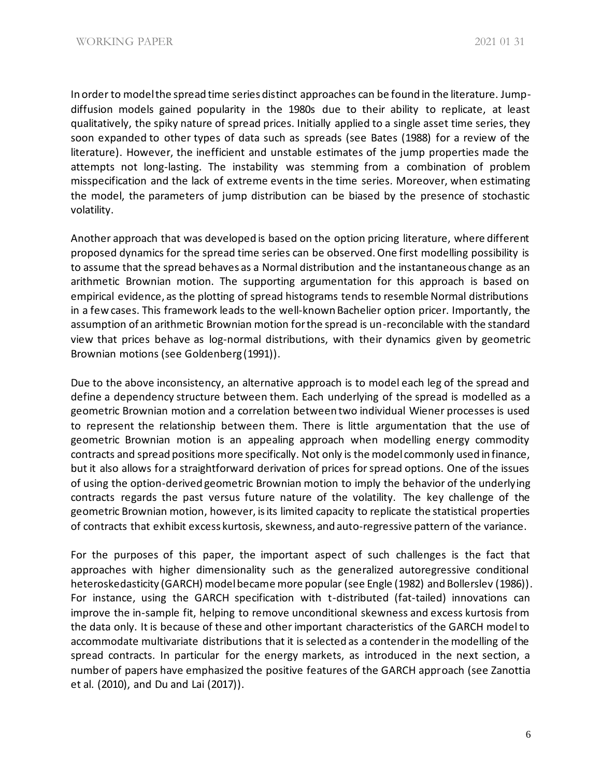In order to model the spread time series distinct approaches can be found in the literature. Jumpdiffusion models gained popularity in the 1980s due to their ability to replicate, at least qualitatively, the spiky nature of spread prices. Initially applied to a single asset time series, they soon expanded to other types of data such as spreads (see Bates (1988) for a review of the literature). However, the inefficient and unstable estimates of the jump properties made the attempts not long-lasting. The instability was stemming from a combination of problem misspecification and the lack of extreme events in the time series. Moreover, when estimating the model, the parameters of jump distribution can be biased by the presence of stochastic volatility.

Another approach that was developed is based on the option pricing literature, where different proposed dynamics for the spread time series can be observed. One first modelling possibility is to assume that the spread behaves as a Normal distribution and the instantaneous change as an arithmetic Brownian motion. The supporting argumentation for this approach is based on empirical evidence, as the plotting of spread histograms tends to resemble Normal distributions in a few cases. This framework leads to the well-known Bachelier option pricer. Importantly, the assumption of an arithmetic Brownian motion for the spread is un-reconcilable with the standard view that prices behave as log-normal distributions, with their dynamics given by geometric Brownian motions (see Goldenberg (1991)).

Due to the above inconsistency, an alternative approach is to model each leg of the spread and define a dependency structure between them. Each underlying of the spread is modelled as a geometric Brownian motion and a correlation between two individual Wiener processes is used to represent the relationship between them. There is little argumentation that the use of geometric Brownian motion is an appealing approach when modelling energy commodity contracts and spread positions more specifically. Not only is the model commonly used in finance, but it also allows for a straightforward derivation of prices for spread options. One of the issues of using the option-derived geometric Brownian motion to imply the behavior of the underlying contracts regards the past versus future nature of the volatility. The key challenge of the geometric Brownian motion, however, is its limited capacity to replicate the statistical properties of contracts that exhibit excess kurtosis, skewness, and auto-regressive pattern of the variance.

For the purposes of this paper, the important aspect of such challenges is the fact that approaches with higher dimensionality such as the generalized autoregressive conditional heteroskedasticity (GARCH) model became more popular (see Engle (1982) and Bollerslev (1986)). For instance, using the GARCH specification with t-distributed (fat-tailed) innovations can improve the in-sample fit, helping to remove unconditional skewness and excess kurtosis from the data only. It is because of these and other important characteristics of the GARCH model to accommodate multivariate distributions that it is selected as a contender in the modelling of the spread contracts. In particular for the energy markets, as introduced in the next section, a number of papers have emphasized the positive features of the GARCH approach (see Zanottia et al. (2010), and Du and Lai (2017)).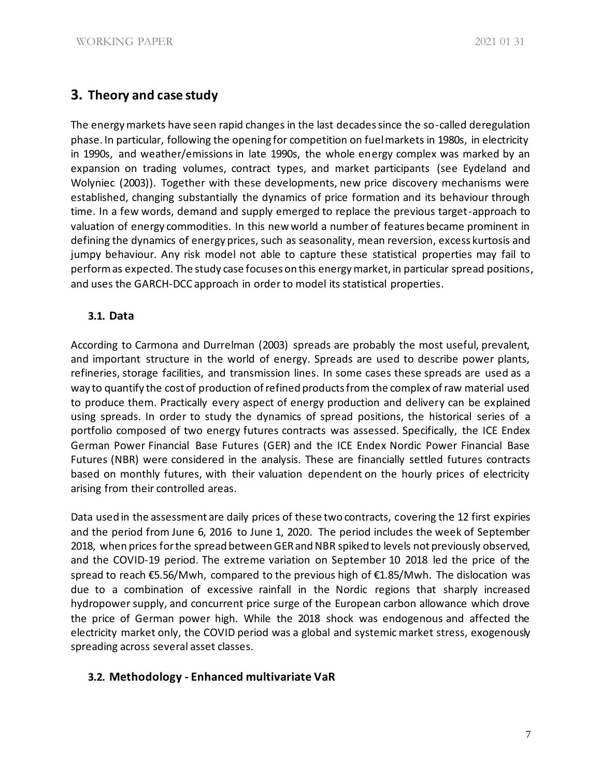# **3. Theory and case study**

The energy markets have seen rapid changes in the last decades since the so-called deregulation phase. In particular, following the opening for competition on fuel markets in 1980s, in electricity in 1990s, and weather/emissions in late 1990s, the whole energy complex was marked by an expansion on trading volumes, contract types, and market participants (see Eydeland and Wolyniec (2003)). Together with these developments, new price discovery mechanisms were established, changing substantially the dynamics of price formation and its behaviour through time. In a few words, demand and supply emerged to replace the previous target-approach to valuation of energy commodities. In this new world a number of features became prominent in defining the dynamics of energy prices, such as seasonality, mean reversion, excess kurtosis and jumpy behaviour. Any risk model not able to capture these statistical properties may fail to perform as expected. The study case focuses on this energy market, in particular spread positions, and uses the GARCH-DCC approach in order to model its statistical properties.

# **3.1. Data**

According to Carmona and Durrelman (2003) spreads are probably the most useful, prevalent, and important structure in the world of energy. Spreads are used to describe power plants, refineries, storage facilities, and transmission lines. In some cases these spreads are used as a way to quantify the cost of production of refined products from the complex of raw material used to produce them. Practically every aspect of energy production and delivery can be explained using spreads. In order to study the dynamics of spread positions, the historical series of a portfolio composed of two energy futures contracts was assessed. Specifically, the ICE Endex German Power Financial Base Futures (GER) and the ICE Endex Nordic Power Financial Base Futures (NBR) were considered in the analysis. These are financially settled futures contracts based on monthly futures, with their valuation dependent on the hourly prices of electricity arising from their controlled areas.

Data used in the assessment are daily prices of these two contracts, covering the 12 first expiries and the period from June 6, 2016 to June 1, 2020. The period includes the week of September 2018, when prices for the spread between GER and NBR spiked to levels not previously observed, and the COVID-19 period. The extreme variation on September 10 2018 led the price of the spread to reach €5.56/Mwh, compared to the previous high of €1.85/Mwh. The dislocation was due to a combination of excessive rainfall in the Nordic regions that sharply increased hydropower supply, and concurrent price surge of the European carbon allowance which drove the price of German power high. While the 2018 shock was endogenous and affected the electricity market only, the COVID period was a global and systemic market stress, exogenously spreading across several asset classes.

# **3.2. Methodology - Enhanced multivariate VaR**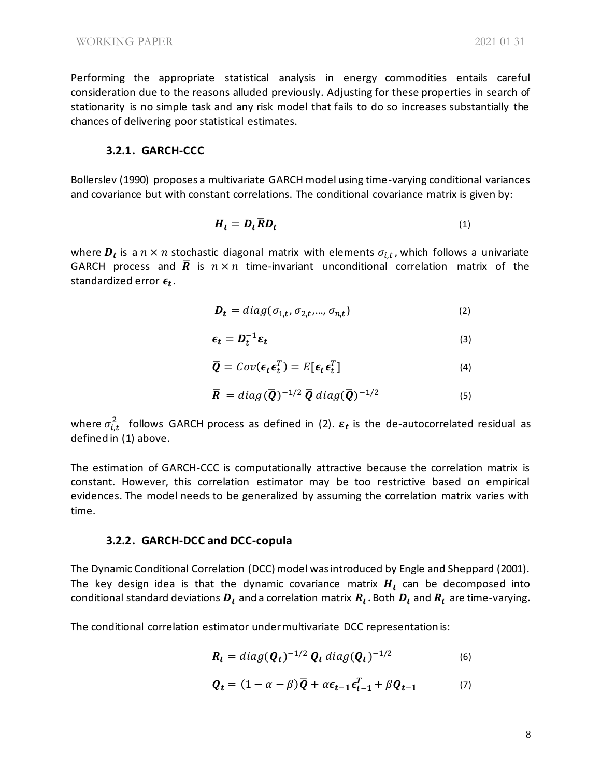Performing the appropriate statistical analysis in energy commodities entails careful consideration due to the reasons alluded previously. Adjusting for these properties in search of stationarity is no simple task and any risk model that fails to do so increases substantially the chances of delivering poor statistical estimates.

#### **3.2.1. GARCH-CCC**

Bollerslev (1990) proposes a multivariate GARCH model using time-varying conditional variances and covariance but with constant correlations. The conditional covariance matrix is given by:

$$
H_t = D_t \overline{R} D_t \tag{1}
$$

where  $\bm{D_t}$  is a  $n \times n$  stochastic diagonal matrix with elements  $\sigma_{i,t}$ , which follows a univariate GARCH process and  $\overline{R}$  is  $n \times n$  time-invariant unconditional correlation matrix of the standardized error  $\epsilon_t$ .

$$
\boldsymbol{D}_t = diag(\sigma_{1,t}, \sigma_{2,t}, ..., \sigma_{n,t})
$$
\n(2)

$$
\epsilon_t = D_t^{-1} \varepsilon_t \tag{3}
$$

$$
\overline{\boldsymbol{Q}} = Cov(\boldsymbol{\epsilon}_t \boldsymbol{\epsilon}_t^T) = E[\boldsymbol{\epsilon}_t \boldsymbol{\epsilon}_t^T]
$$
\n(4)

$$
\overline{R} = diag(\overline{Q})^{-1/2} \overline{Q} diag(\overline{Q})^{-1/2}
$$
 (5)

where  $\sigma_{i,t}^2$  follows GARCH process as defined in (2).  $\bm{\varepsilon_t}$  is the de-autocorrelated residual as defined in (1) above.

The estimation of GARCH-CCC is computationally attractive because the correlation matrix is constant. However, this correlation estimator may be too restrictive based on empirical evidences. The model needs to be generalized by assuming the correlation matrix varies with time.

#### **3.2.2. GARCH-DCC and DCC-copula**

The Dynamic Conditional Correlation (DCC) model was introduced by Engle and Sheppard (2001). The key design idea is that the dynamic covariance matrix  $H_t$  can be decomposed into conditional standard deviations  $\bm{D_t}$  and a correlation matrix  $\bm{R_t}.$  Both  $\bm{D_t}$  and  $\bm{R_t}$  are time-varying $\bm{.}$ 

The conditional correlation estimator under multivariate DCC representation is:

$$
\boldsymbol{R}_t = diag(\boldsymbol{Q}_t)^{-1/2} \boldsymbol{Q}_t diag(\boldsymbol{Q}_t)^{-1/2}
$$
 (6)

$$
\boldsymbol{Q}_t = (1 - \alpha - \beta)\overline{\boldsymbol{Q}} + \alpha \boldsymbol{\epsilon}_{t-1} \boldsymbol{\epsilon}_{t-1}^T + \beta \boldsymbol{Q}_{t-1} \tag{7}
$$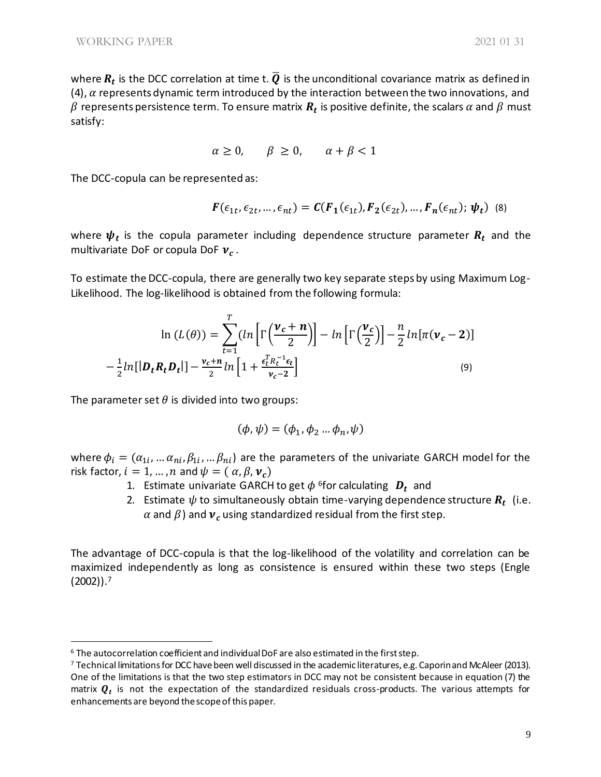where  $R_t$  is the DCC correlation at time t.  $\overline Q$  is the unconditional covariance matrix as defined in (4),  $\alpha$  represents dynamic term introduced by the interaction between the two innovations, and  $\beta$  represents persistence term. To ensure matrix  $\bm{R_t}$  is positive definite, the scalars  $\alpha$  and  $\beta$  must satisfy:

$$
\alpha \ge 0, \qquad \beta \ge 0, \qquad \alpha + \beta < 1
$$

The DCC-copula can be represented as:

$$
F(\epsilon_{1t}, \epsilon_{2t}, \dots, \epsilon_{nt}) = C(F_1(\epsilon_{1t}), F_2(\epsilon_{2t}), \dots, F_n(\epsilon_{nt}); \psi_t)
$$
 (8)

where  $\boldsymbol{\psi} _t$  is the copula parameter including dependence structure parameter  $\boldsymbol{R} _t$  and the multivariate DoF or copula DoF  $v_c$ .

To estimate the DCC-copula, there are generally two key separate steps by using Maximum Log-Likelihood. The log-likelihood is obtained from the following formula:

$$
\ln(L(\theta)) = \sum_{t=1}^{T} (\ln\left[\Gamma\left(\frac{\nu_c + n}{2}\right)\right] - \ln\left[\Gamma\left(\frac{\nu_c}{2}\right)\right] - \frac{n}{2}\ln[\pi(\nu_c - 2)]
$$

$$
-\frac{1}{2}\ln[\left|\mathbf{D}_t\mathbf{R}_t\mathbf{D}_t\right|] - \frac{\nu_c + n}{2}\ln\left[1 + \frac{\epsilon_t^T R_t^{-1} \epsilon_t}{\nu_c - 2}\right] \tag{9}
$$

The parameter set  $\theta$  is divided into two groups:

$$
(\phi,\psi)=(\phi_1,\phi_2\ldots\phi_n,\psi)
$$

where  $\phi_i = (\alpha_{1i},... \alpha_{ni}, \beta_{1i},...\beta_{ni})$  are the parameters of the univariate GARCH model for the risk factor,  $i = 1, ..., n$  and  $\psi = (\alpha, \beta, \nu_c)$ 

- 1. Estimate univariate GARCH to get  $\phi$  <sup>6</sup>for calculating  $\bm{D_t}$  and
- 2. Estimate  $\psi$  to simultaneously obtain time-varying dependence structure  $\boldsymbol{R}_{t}$  (i.e.  $\alpha$  and  $\beta$ ) and  $\boldsymbol{v}_c$  using standardized residual from the first step.

The advantage of DCC-copula is that the log-likelihood of the volatility and correlation can be maximized independently as long as consistence is ensured within these two steps (Engle  $(2002)$ ).<sup>7</sup>

<sup>6</sup> The autocorrelation coefficient and individual DoF are also estimated in the first step.

<sup>7</sup> Technical limitations for DCC have been well discussed in the academic literatures, e.g. Caporin and McAleer (2013). One of the limitations is that the two step estimators in DCC may not be consistent because in equation (7) the matrix  $\bm{Q}_t$  is not the expectation of the standardized residuals cross-products. The various attempts for enhancements are beyond the scope of this paper.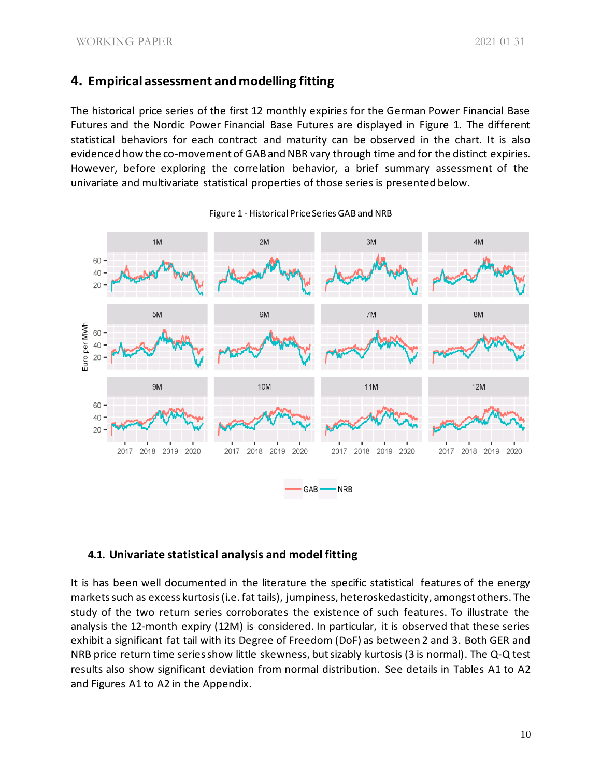# **4. Empirical assessment and modelling fitting**

The historical price series of the first 12 monthly expiries for the German Power Financial Base Futures and the Nordic Power Financial Base Futures are displayed in Figure 1. The different statistical behaviors for each contract and maturity can be observed in the chart. It is also evidenced how the co-movement of GAB and NBR vary through time and for the distinct expiries. However, before exploring the correlation behavior, a brief summary assessment of the univariate and multivariate statistical properties of those series is presented below.



Figure 1 -Historical Price Series GAB and NRB

# **4.1. Univariate statistical analysis and model fitting**

It is has been well documented in the literature the specific statistical features of the energy marketssuch as excess kurtosis (i.e. fat tails), jumpiness, heteroskedasticity, amongst others. The study of the two return series corroborates the existence of such features. To illustrate the analysis the 12-month expiry (12M) is considered. In particular, it is observed that these series exhibit a significant fat tail with its Degree of Freedom (DoF) as between 2 and 3. Both GER and NRB price return time series show little skewness, but sizably kurtosis (3 is normal). The Q-Q test results also show significant deviation from normal distribution. See details in Tables A1 to A2 and Figures A1 to A2 in the Appendix.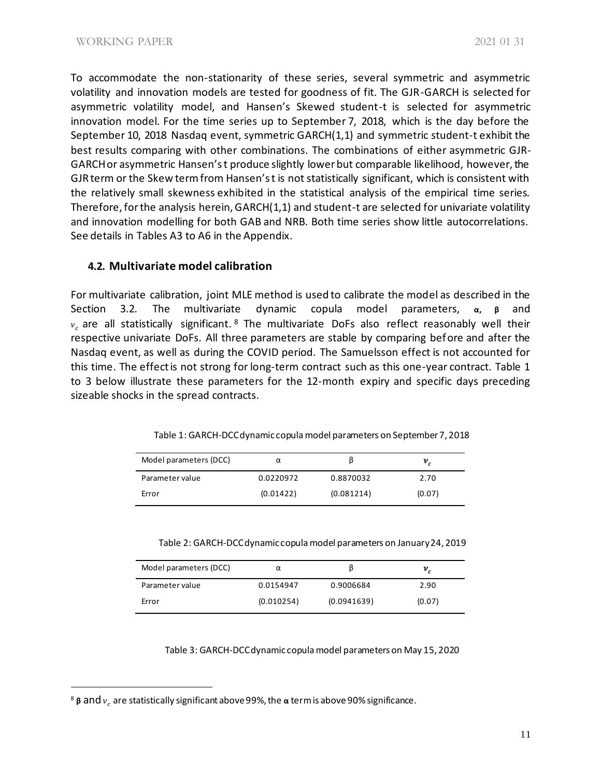To accommodate the non-stationarity of these series, several symmetric and asymmetric volatility and innovation models are tested for goodness of fit. The GJR-GARCH is selected for asymmetric volatility model, and Hansen's Skewed student-t is selected for asymmetric innovation model. For the time series up to September 7, 2018, which is the day before the September 10, 2018 Nasdaq event, symmetric GARCH(1,1) and symmetric student-t exhibit the best results comparing with other combinations. The combinations of either asymmetric GJR-GARCH or asymmetric Hansen's t produce slightly lower but comparable likelihood, however, the GJR term or the Skew term from Hansen's t is not statistically significant, which is consistent with the relatively small skewness exhibited in the statistical analysis of the empirical time series. Therefore, for the analysis herein, GARCH(1,1) and student-t are selected for univariate volatility and innovation modelling for both GAB and NRB. Both time series show little autocorrelations. See details in Tables A3 to A6 in the Appendix.

### **4.2. Multivariate model calibration**

For multivariate calibration, joint MLE method is used to calibrate the model as described in the Section 3.2. The multivariate dynamic copula model parameters, **α, β** and  $v_c$  are all statistically significant. <sup>8</sup> The multivariate DoFs also reflect reasonably well their respective univariate DoFs. All three parameters are stable by comparing before and after the Nasdaq event, as well as during the COVID period. The Samuelsson effect is not accounted for this time. The effect is not strong for long-term contract such as this one-year contract. Table 1 to 3 below illustrate these parameters for the 12-month expiry and specific days preceding sizeable shocks in the spread contracts.

| Model parameters (DCC) | α         |            | $v_c$  |
|------------------------|-----------|------------|--------|
| Parameter value        | 0.0220972 | 0.8870032  | 2.70   |
| Error                  | (0.01422) | (0.081214) | (0.07) |

Table 1: GARCH-DCC dynamic copula model parameters on September 7, 2018

Table 2: GARCH-DCC dynamic copula model parameters on January 24, 2019

| Model parameters (DCC) | α          |             | $v_c$  |
|------------------------|------------|-------------|--------|
| Parameter value        | 0.0154947  | 0.9006684   | 2.90   |
| Error                  | (0.010254) | (0.0941639) | (0.07) |

Table 3: GARCH-DCC dynamic copula model parameters on May 15, 2020

<sup>&</sup>lt;sup>8</sup> β and  $v_c$  are statistically significant above 99%, the α term is above 90% significance.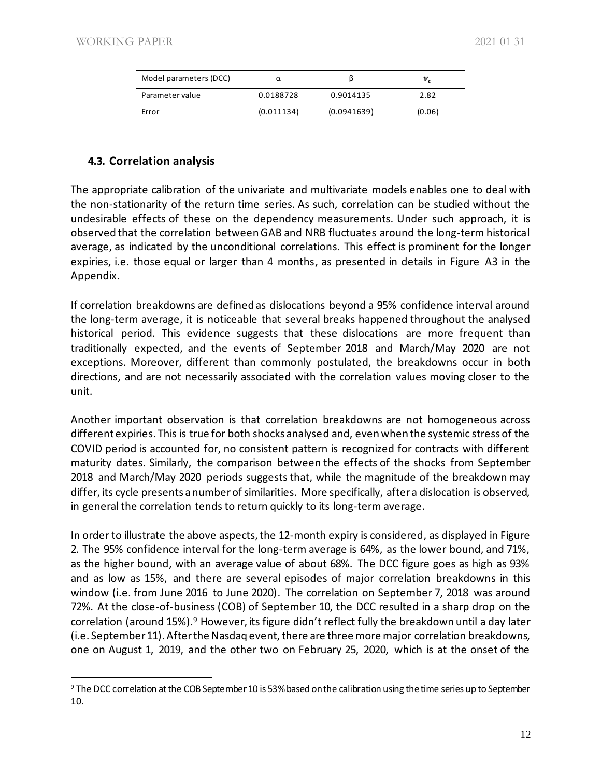| Model parameters (DCC) | α          |             | $v_c$  |
|------------------------|------------|-------------|--------|
| Parameter value        | 0.0188728  | 0.9014135   | 2.82   |
| Error                  | (0.011134) | (0.0941639) | (0.06) |

### **4.3. Correlation analysis**

The appropriate calibration of the univariate and multivariate models enables one to deal with the non-stationarity of the return time series. As such, correlation can be studied without the undesirable effects of these on the dependency measurements. Under such approach, it is observed that the correlation between GAB and NRB fluctuates around the long-term historical average, as indicated by the unconditional correlations. This effect is prominent for the longer expiries, i.e. those equal or larger than 4 months, as presented in details in Figure A3 in the Appendix.

If correlation breakdowns are defined as dislocations beyond a 95% confidence interval around the long-term average, it is noticeable that several breaks happened throughout the analysed historical period. This evidence suggests that these dislocations are more frequent than traditionally expected, and the events of September 2018 and March/May 2020 are not exceptions. Moreover, different than commonly postulated, the breakdowns occur in both directions, and are not necessarily associated with the correlation values moving closer to the unit.

Another important observation is that correlation breakdowns are not homogeneous across different expiries. This is true for both shocks analysed and, even when the systemic stress of the COVID period is accounted for, no consistent pattern is recognized for contracts with different maturity dates. Similarly, the comparison between the effects of the shocks from September 2018 and March/May 2020 periods suggests that, while the magnitude of the breakdown may differ, its cycle presents a number of similarities. More specifically, after a dislocation is observed, in general the correlation tends to return quickly to its long-term average.

In order to illustrate the above aspects, the 12-month expiry is considered, as displayed in Figure 2. The 95% confidence interval for the long-term average is 64%, as the lower bound, and 71%, as the higher bound, with an average value of about 68%. The DCC figure goes as high as 93% and as low as 15%, and there are several episodes of major correlation breakdowns in this window (i.e. from June 2016 to June 2020). The correlation on September 7, 2018 was around 72%. At the close-of-business (COB) of September 10, the DCC resulted in a sharp drop on the correlation (around 15%).<sup>9</sup> However, its figure didn't reflect fully the breakdown until a day later (i.e. September 11). After the Nasdaq event, there are three more major correlation breakdowns, one on August 1, 2019, and the other two on February 25, 2020, which is at the onset of the

<sup>9</sup> The DCC correlation at the COB September 10 is 53% based on the calibration using the time series up to September 10.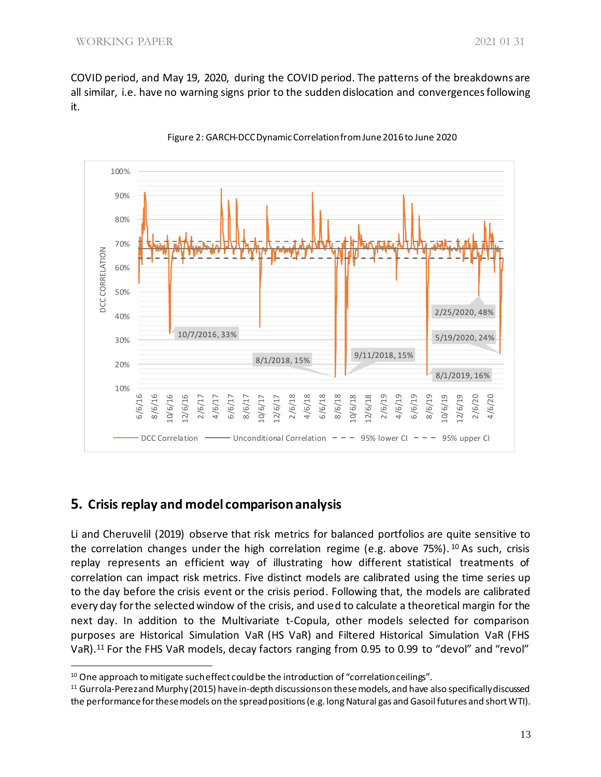COVID period, and May 19, 2020, during the COVID period. The patterns of the breakdowns are all similar, i.e. have no warning signs prior to the sudden dislocation and convergences following it.



Figure 2: GARCH-DCC Dynamic Correlationfrom June 2016 to June 2020

# **5. Crisis replay and model comparison analysis**

Li and Cheruvelil (2019) observe that risk metrics for balanced portfolios are quite sensitive to the correlation changes under the high correlation regime (e.g. above 75%). <sup>10</sup> As such, crisis replay represents an efficient way of illustrating how different statistical treatments of correlation can impact risk metrics. Five distinct models are calibrated using the time series up to the day before the crisis event or the crisis period. Following that, the models are calibrated every day for the selected window of the crisis, and used to calculate a theoretical margin for the next day. In addition to the Multivariate t-Copula, other models selected for comparison purposes are Historical Simulation VaR (HS VaR) and Filtered Historical Simulation VaR (FHS VaR).<sup>11</sup> For the FHS VaR models, decay factors ranging from 0.95 to 0.99 to "devol" and "revol"

<sup>&</sup>lt;sup>10</sup> One approach to mitigate such effect could be the introduction of "correlation ceilings".

<sup>&</sup>lt;sup>11</sup> Gurrola-Perez and Murphy (2015) have in-depth discussions on these models, and have also specifically discussed the performance for these models on the spread positions (e.g. long Natural gas and Gasoil futures and short WTI).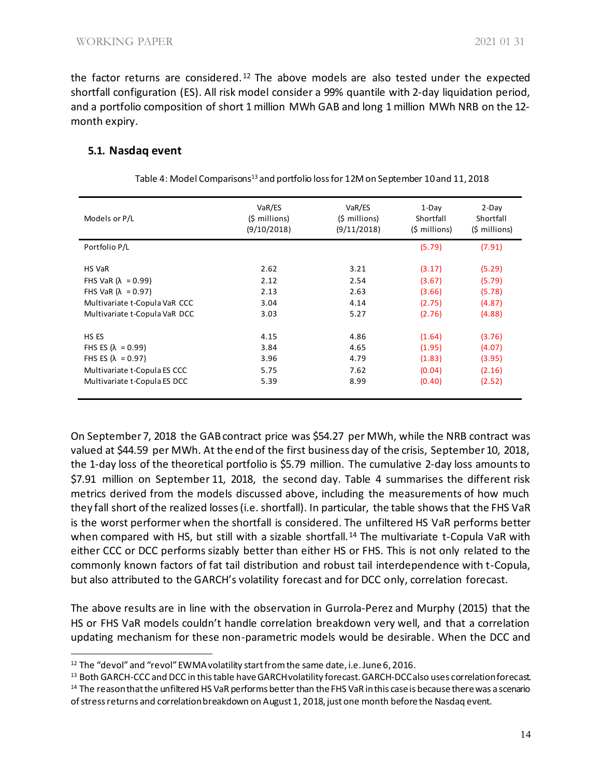the factor returns are considered.<sup>12</sup> The above models are also tested under the expected shortfall configuration (ES). All risk model consider a 99% quantile with 2-day liquidation period, and a portfolio composition of short 1 million MWh GAB and long 1 million MWh NRB on the 12 month expiry.

#### **5.1. Nasdaq event**

| VaR/ES<br>(\$ millions)<br>(9/10/2018) | VaR/ES<br>$(5 \text{ millions})$<br>(9/11/2018) | 1-Day<br>Shortfall<br>(\$ millions) | $2-Day$<br>Shortfall<br>$(5 \text{ millions})$ |
|----------------------------------------|-------------------------------------------------|-------------------------------------|------------------------------------------------|
|                                        |                                                 | (5.79)                              | (7.91)                                         |
|                                        |                                                 |                                     |                                                |
| 2.62                                   | 3.21                                            | (3.17)                              | (5.29)                                         |
| 2.12                                   | 2.54                                            | (3.67)                              | (5.79)                                         |
| 2.13                                   | 2.63                                            | (3.66)                              | (5.78)                                         |
| 3.04                                   | 4.14                                            | (2.75)                              | (4.87)                                         |
| 3.03                                   | 5.27                                            | (2.76)                              | (4.88)                                         |
|                                        |                                                 |                                     |                                                |
| 4.15                                   | 4.86                                            | (1.64)                              | (3.76)                                         |
| 3.84                                   | 4.65                                            | (1.95)                              | (4.07)                                         |
| 3.96                                   | 4.79                                            | (1.83)                              | (3.95)                                         |
| 5.75                                   | 7.62                                            | (0.04)                              | (2.16)                                         |
| 5.39                                   | 8.99                                            | (0.40)                              | (2.52)                                         |
|                                        |                                                 |                                     |                                                |

On September 7, 2018 the GABcontract price was \$54.27 per MWh, while the NRB contract was valued at \$44.59 per MWh. At the end of the first business day of the crisis, September 10, 2018, the 1-day loss of the theoretical portfolio is \$5.79 million. The cumulative 2-day loss amounts to \$7.91 million on September 11, 2018, the second day. Table 4 summarises the different risk metrics derived from the models discussed above, including the measurements of how much they fall short of the realized losses (i.e. shortfall). In particular, the table shows that the FHS VaR is the worst performer when the shortfall is considered. The unfiltered HS VaR performs better when compared with HS, but still with a sizable shortfall.<sup>14</sup> The multivariate t-Copula VaR with either CCC or DCC performs sizably better than either HS or FHS. This is not only related to the commonly known factors of fat tail distribution and robust tail interdependence with t-Copula, but also attributed to the GARCH's volatility forecast and for DCC only, correlation forecast.

The above results are in line with the observation in Gurrola-Perez and Murphy (2015) that the HS or FHS VaR models couldn't handle correlation breakdown very well, and that a correlation updating mechanism for these non-parametric models would be desirable. When the DCC and

<sup>12</sup> The "devol" and "revol" EWMA volatility start from the same date, i.e. June 6, 2016.

<sup>13</sup> Both GARCH-CCC and DCC in this table have GARCH volatility forecast. GARCH-DCC also uses correlation forecast. <sup>14</sup> The reason that the unfiltered HS VaR performs better than the FHS VaR in this case is because there was a scenario of stress returns and correlation breakdown on August 1, 2018, just one month before the Nasdaq event.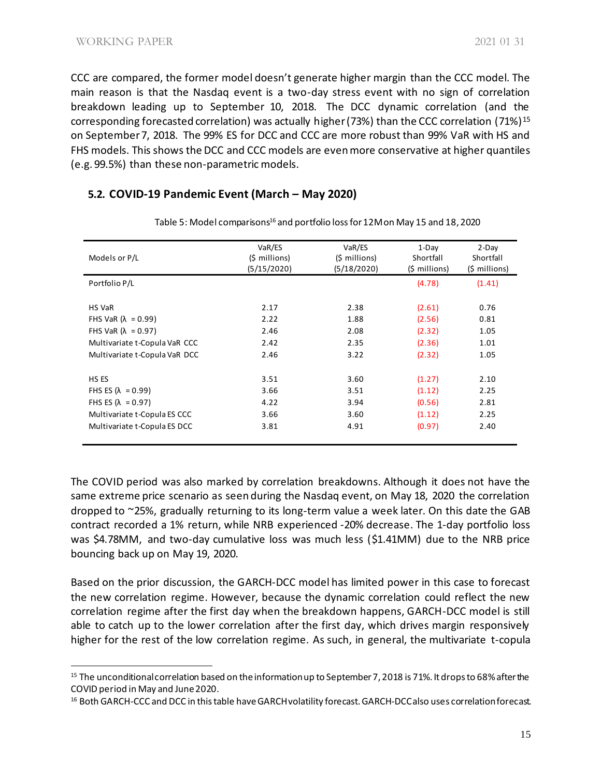CCC are compared, the former model doesn't generate higher margin than the CCC model. The main reason is that the Nasdaq event is a two-day stress event with no sign of correlation breakdown leading up to September 10, 2018. The DCC dynamic correlation (and the corresponding forecasted correlation) was actually higher (73%) than the CCC correlation (71%)<sup>15</sup> on September 7, 2018. The 99% ES for DCC and CCC are more robust than 99% VaR with HS and FHS models. This shows the DCC and CCC models are even more conservative at higher quantiles (e.g. 99.5%) than these non-parametric models.

### **5.2. COVID-19 Pandemic Event (March – May 2020)**

| Models or P/L                 | VaR/ES<br>(\$ millions) | VaR/ES<br>(\$ millions) | $1-Dav$<br>Shortfall   | $2-Dav$<br>Shortfall   |
|-------------------------------|-------------------------|-------------------------|------------------------|------------------------|
|                               | (5/15/2020)             | (5/18/2020)             | $(5 \text{ millions})$ | $(5 \text{ millions})$ |
| Portfolio P/L                 |                         |                         | (4.78)                 | (1.41)                 |
|                               |                         |                         |                        |                        |
| <b>HS VaR</b>                 | 2.17                    | 2.38                    | (2.61)                 | 0.76                   |
| FHS VaR $(\lambda = 0.99)$    | 2.22                    | 1.88                    | (2.56)                 | 0.81                   |
| FHS VaR $(\lambda = 0.97)$    | 2.46                    | 2.08                    | (2.32)                 | 1.05                   |
| Multivariate t-Copula VaR CCC | 2.42                    | 2.35                    | (2.36)                 | 1.01                   |
| Multivariate t-Copula VaR DCC | 2.46                    | 3.22                    | (2.32)                 | 1.05                   |
|                               |                         |                         |                        |                        |
| HS ES                         | 3.51                    | 3.60                    | (1.27)                 | 2.10                   |
| FHS ES $(\lambda = 0.99)$     | 3.66                    | 3.51                    | (1.12)                 | 2.25                   |
| FHS ES $(\lambda = 0.97)$     | 4.22                    | 3.94                    | (0.56)                 | 2.81                   |
| Multivariate t-Copula ES CCC  | 3.66                    | 3.60                    | (1.12)                 | 2.25                   |
| Multivariate t-Copula ES DCC  | 3.81                    | 4.91                    | (0.97)                 | 2.40                   |
|                               |                         |                         |                        |                        |

Table 5: Model comparisons<sup>16</sup> and portfolio loss for 12M on May 15 and 18, 2020

The COVID period was also marked by correlation breakdowns. Although it does not have the same extreme price scenario as seen during the Nasdaq event, on May 18, 2020 the correlation dropped to ~25%, gradually returning to its long-term value a week later. On this date the GAB contract recorded a 1% return, while NRB experienced -20% decrease. The 1-day portfolio loss was \$4.78MM, and two-day cumulative loss was much less (\$1.41MM) due to the NRB price bouncing back up on May 19, 2020.

Based on the prior discussion, the GARCH-DCC model has limited power in this case to forecast the new correlation regime. However, because the dynamic correlation could reflect the new correlation regime after the first day when the breakdown happens, GARCH-DCC model is still able to catch up to the lower correlation after the first day, which drives margin responsively higher for the rest of the low correlation regime. As such, in general, the multivariate t-copula

<sup>&</sup>lt;sup>15</sup> The unconditional correlation based on the information up to September 7, 2018 is 71%. It drops to 68% after the COVID period in May and June 2020.

<sup>&</sup>lt;sup>16</sup> Both GARCH-CCC and DCC in this table have GARCH volatility forecast. GARCH-DCC also uses correlation forecast.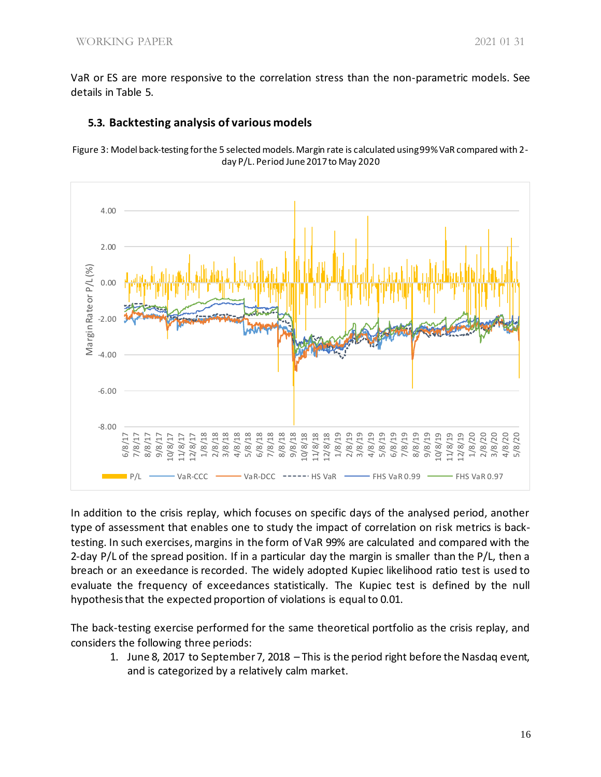VaR or ES are more responsive to the correlation stress than the non-parametric models. See details in Table 5.



#### **5.3. Backtesting analysis of various models**

Figure 3: Model back-testing for the 5 selected models. Margin rate is calculated using 99% VaR compared with 2 day P/L. Period June 2017 to May 2020

In addition to the crisis replay, which focuses on specific days of the analysed period, another type of assessment that enables one to study the impact of correlation on risk metrics is backtesting. In such exercises, margins in the form of VaR 99% are calculated and compared with the 2-day P/L of the spread position. If in a particular day the margin is smaller than the P/L, then a breach or an exeedance is recorded. The widely adopted Kupiec likelihood ratio test is used to evaluate the frequency of exceedances statistically. The Kupiec test is defined by the null hypothesis that the expected proportion of violations is equal to 0.01.

The back-testing exercise performed for the same theoretical portfolio as the crisis replay, and considers the following three periods:

1. June 8, 2017 to September 7, 2018 – This is the period right before the Nasdaq event, and is categorized by a relatively calm market.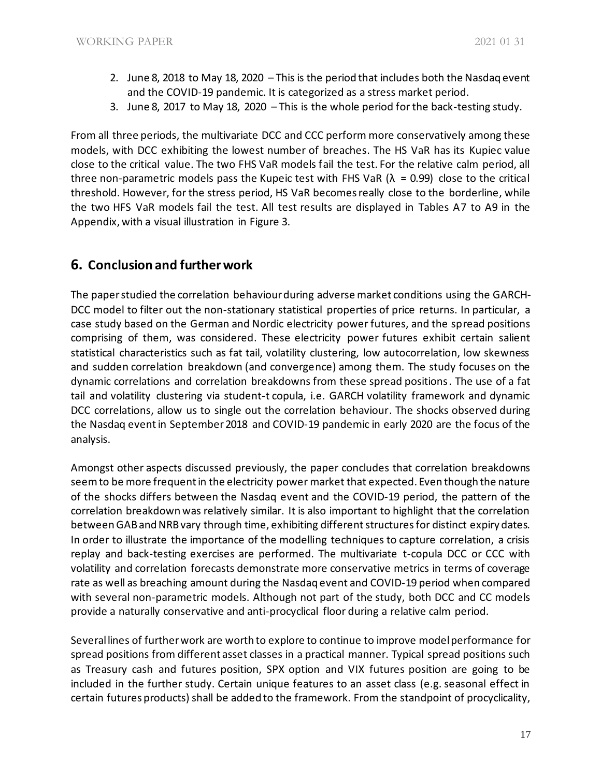- 2. June 8, 2018 to May 18, 2020 This is the period that includes both the Nasdaq event and the COVID-19 pandemic. It is categorized as a stress market period.
- 3. June 8, 2017 to May 18, 2020 This is the whole period for the back-testing study.

From all three periods, the multivariate DCC and CCC perform more conservatively among these models, with DCC exhibiting the lowest number of breaches. The HS VaR has its Kupiec value close to the critical value. The two FHS VaR models fail the test. For the relative calm period, all three non-parametric models pass the Kupeic test with FHS VaR ( $\lambda$  = 0.99) close to the critical threshold. However, for the stress period, HS VaR becomes really close to the borderline, while the two HFS VaR models fail the test. All test results are displayed in Tables A7 to A9 in the Appendix, with a visual illustration in Figure 3.

# **6. Conclusion and further work**

The paper studied the correlation behaviour during adverse market conditions using the GARCH-DCC model to filter out the non-stationary statistical properties of price returns. In particular, a case study based on the German and Nordic electricity power futures, and the spread positions comprising of them, was considered. These electricity power futures exhibit certain salient statistical characteristics such as fat tail, volatility clustering, low autocorrelation, low skewness and sudden correlation breakdown (and convergence) among them. The study focuses on the dynamic correlations and correlation breakdowns from these spread positions. The use of a fat tail and volatility clustering via student-t copula, i.e. GARCH volatility framework and dynamic DCC correlations, allow us to single out the correlation behaviour. The shocks observed during the Nasdaq event in September 2018 and COVID-19 pandemic in early 2020 are the focus of the analysis.

Amongst other aspects discussed previously, the paper concludes that correlation breakdowns seem to be more frequent in the electricity power market that expected. Even though the nature of the shocks differs between the Nasdaq event and the COVID-19 period, the pattern of the correlation breakdown was relatively similar. It is also important to highlight that the correlation between GAB and NRB vary through time, exhibiting different structuresfor distinct expiry dates. In order to illustrate the importance of the modelling techniques to capture correlation, a crisis replay and back-testing exercises are performed. The multivariate t-copula DCC or CCC with volatility and correlation forecasts demonstrate more conservative metrics in terms of coverage rate as well as breaching amount during the Nasdaq event and COVID-19 period when compared with several non-parametric models. Although not part of the study, both DCC and CC models provide a naturally conservative and anti-procyclical floor during a relative calm period.

Several lines of further work are worth to explore to continue to improve model performance for spread positions from different asset classes in a practical manner. Typical spread positions such as Treasury cash and futures position, SPX option and VIX futures position are going to be included in the further study. Certain unique features to an asset class (e.g. seasonal effect in certain futures products) shall be added to the framework. From the standpoint of procyclicality,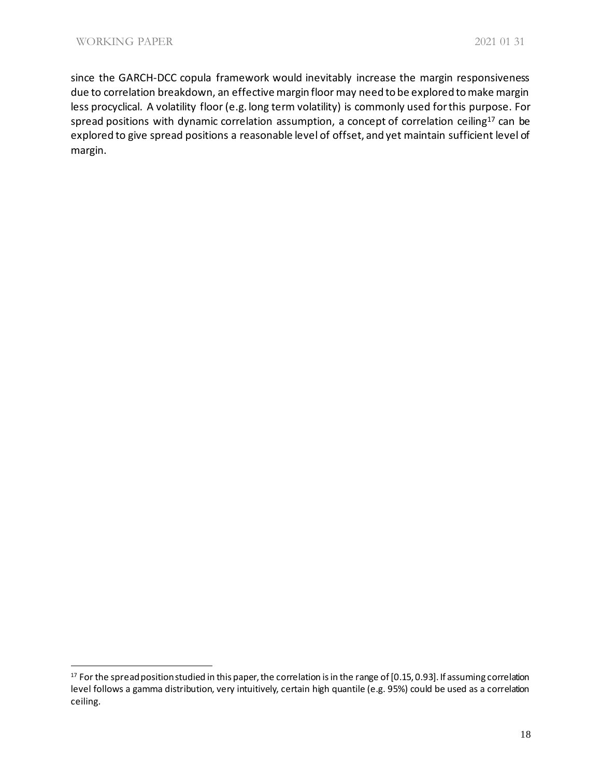since the GARCH-DCC copula framework would inevitably increase the margin responsiveness due to correlation breakdown, an effective margin floor may need to be explored to make margin less procyclical. A volatility floor (e.g. long term volatility) is commonly used for this purpose. For spread positions with dynamic correlation assumption, a concept of correlation ceiling<sup>17</sup> can be explored to give spread positions a reasonable level of offset, and yet maintain sufficient level of margin.

<sup>&</sup>lt;sup>17</sup> For the spread position studied in this paper, the correlation is in the range of [0.15, 0.93]. If assuming correlation level follows a gamma distribution, very intuitively, certain high quantile (e.g. 95%) could be used as a correlation ceiling.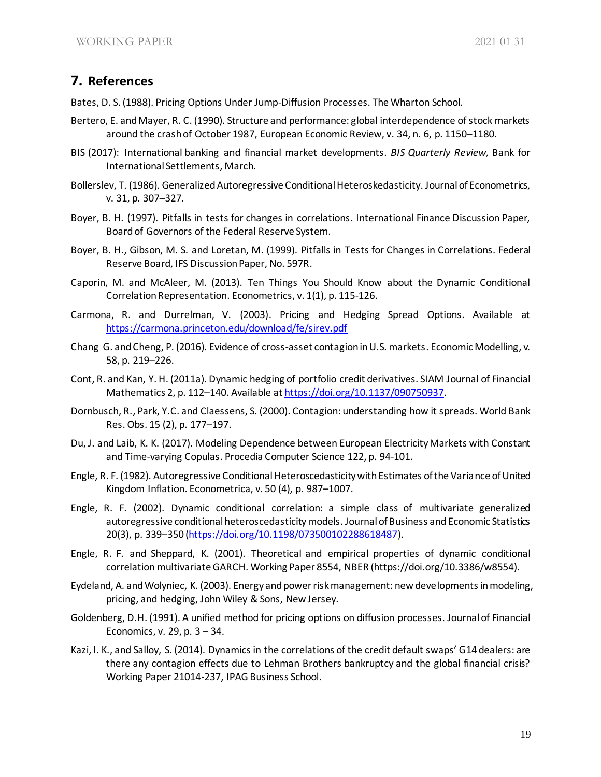# **7. References**

Bates, D. S. (1988). Pricing Options Under Jump-Diffusion Processes. The Wharton School.

- Bertero, E. and Mayer, R. C. (1990). Structure and performance: global interdependence of stock markets around the crash of October 1987, European Economic Review, v. 34, n. 6, p. 1150–1180.
- BIS (2017): International banking and financial market developments. *BIS Quarterly Review,* Bank for International Settlements, March.
- Bollerslev, T. (1986). Generalized Autoregressive Conditional Heteroskedasticity. Journal of Econometrics, v. 31, p. 307–327.
- Boyer, B. H. (1997). Pitfalls in tests for changes in correlations. International Finance Discussion Paper, Board of Governors of the Federal Reserve System.
- Boyer, B. H., Gibson, M. S. and Loretan, M. (1999). Pitfalls in Tests for Changes in Correlations. Federal Reserve Board, IFS Discussion Paper, No. 597R.
- Caporin, M. and McAleer, M. (2013). Ten Things You Should Know about the Dynamic Conditional Correlation Representation. Econometrics, v. 1(1), p. 115-126.
- Carmona, R. and Durrelman, V. (2003). Pricing and Hedging Spread Options. Available at <https://carmona.princeton.edu/download/fe/sirev.pdf>
- Chang G. andCheng, P. (2016). Evidence of cross-asset contagion in U.S. markets. Economic Modelling, v. 58, p. 219–226.
- Cont, R. and Kan, Y. H. (2011a). Dynamic hedging of portfolio credit derivatives. SIAM Journal of Financial Mathematics 2, p. 112–140. Available at [https://doi.org/10.1137/090750937.](https://doi.org/10.1137/090750937)
- Dornbusch, R., Park, Y.C. and Claessens, S. (2000). Contagion: understanding how it spreads. World Bank Res. Obs. 15 (2), p. 177–197.
- Du, J. and Laib, K. K. (2017). Modeling Dependence between European Electricity Markets with Constant and Time-varying Copulas. Procedia Computer Science 122, p. 94-101.
- Engle, R. F. (1982). Autoregressive Conditional Heteroscedasticity with Estimates of the Variance of United Kingdom Inflation. Econometrica, v. 50 (4), p. 987–1007.
- Engle, R. F. (2002). Dynamic conditional correlation: a simple class of multivariate generalized autoregressive conditional heteroscedasticity models. Journal of Business and Economic Statistics 20(3), p. 339–350 [\(https://doi.org/10.1198/073500102288618487\)](https://doi.org/10.1198/073500102288618487).
- Engle, R. F. and Sheppard, K. (2001). Theoretical and empirical properties of dynamic conditional correlation multivariate GARCH. Working Paper 8554, NBER (https://doi.org/10.3386/w8554).
- Eydeland, A. and Wolyniec, K. (2003). Energy and power risk management: new developments in modeling, pricing, and hedging, John Wiley & Sons, New Jersey.
- Goldenberg, D.H. (1991). A unified method for pricing options on diffusion processes. Journal of Financial Economics, v. 29, p. 3 – 34.
- Kazi, I. K., and Salloy, S. (2014). Dynamics in the correlations of the credit default swaps' G14 dealers: are there any contagion effects due to Lehman Brothers bankruptcy and the global financial crisis? Working Paper 21014-237, IPAG Business School.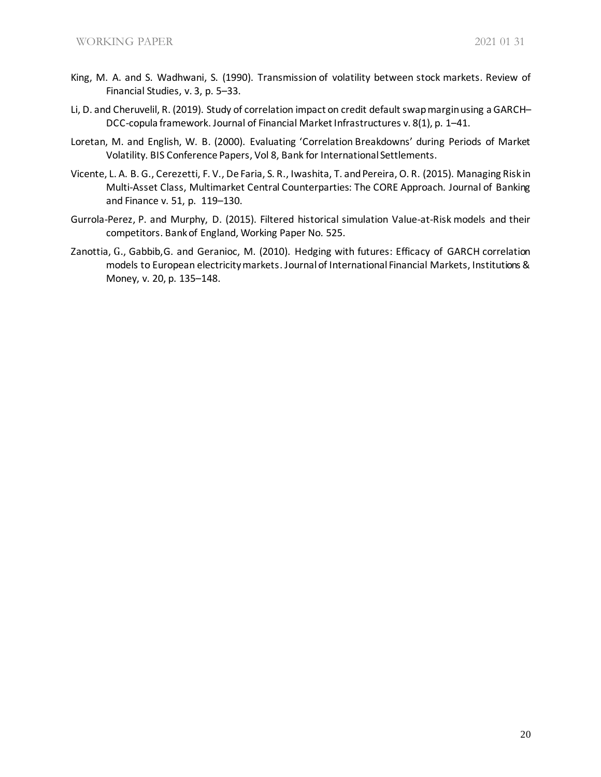- King, M. A. and S. Wadhwani, S. (1990). Transmission of volatility between stock markets. Review of Financial Studies, v. 3, p. 5–33.
- Li, D. and Cheruvelil, R. (2019). Study of correlation impact on credit default swap margin using a GARCH– DCC-copula framework. Journal of Financial Market Infrastructures v. 8(1), p. 1–41.
- Loretan, M. and English, W. B. (2000). Evaluating 'Correlation Breakdowns' during Periods of Market Volatility. BIS Conference Papers, Vol 8, Bank for International Settlements.
- Vicente, L. A. B. G., Cerezetti, F. V., De Faria, S. R., Iwashita, T. and Pereira, O. R. (2015). Managing Risk in Multi-Asset Class, Multimarket Central Counterparties: The CORE Approach. Journal of Banking and Finance v. 51, p. 119–130.
- Gurrola-Perez, P. and Murphy, D. (2015). Filtered historical simulation Value-at-Risk models and their competitors. Bank of England, Working Paper No. 525.
- Zanottia, G., Gabbib,G. and Geranioc, M. (2010). Hedging with futures: Efficacy of GARCH correlation models to European electricity markets. Journal of International Financial Markets, Institutions & Money, v. 20, p. 135–148.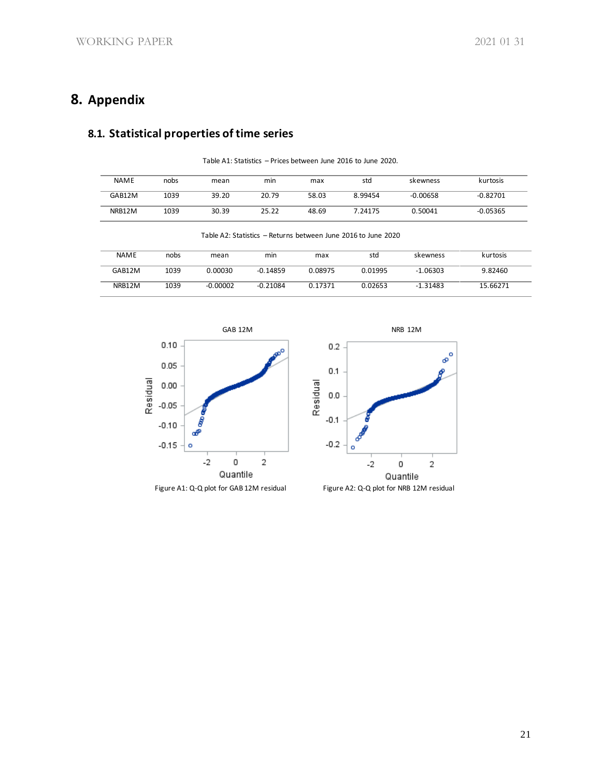# **8. Appendix**

# **8.1. Statistical properties of time series**

| <b>NAME</b> | nobs | mean  | min   | max   | std     | skewness   | kurtosis   |
|-------------|------|-------|-------|-------|---------|------------|------------|
| GAB12M      | 1039 | 39.20 | 20.79 | 58.03 | 8.99454 | $-0.00658$ | $-0.82701$ |
| NRB12M      | 1039 | 30.39 | 25.22 | 48.69 | 7.24175 | 0.50041    | $-0.05365$ |

Table A1: Statistics – Prices between June 2016 to June 2020.

Table A2: Statistics – Returns between June 2016 to June 2020 NAME nobs mean min max std skewness kurtosis GAB12M 1039 0.00030 -0.14859 0.08975 0.01995 -1.06303 9.82460

NRB12M 1039 -0.00002 -0.21084 0.17371 0.02653 -1.31483 15.66271







Figure A1: Q-Q plot for GAB 12M residual Figure A2: Q-Q plot for NRB 12M residual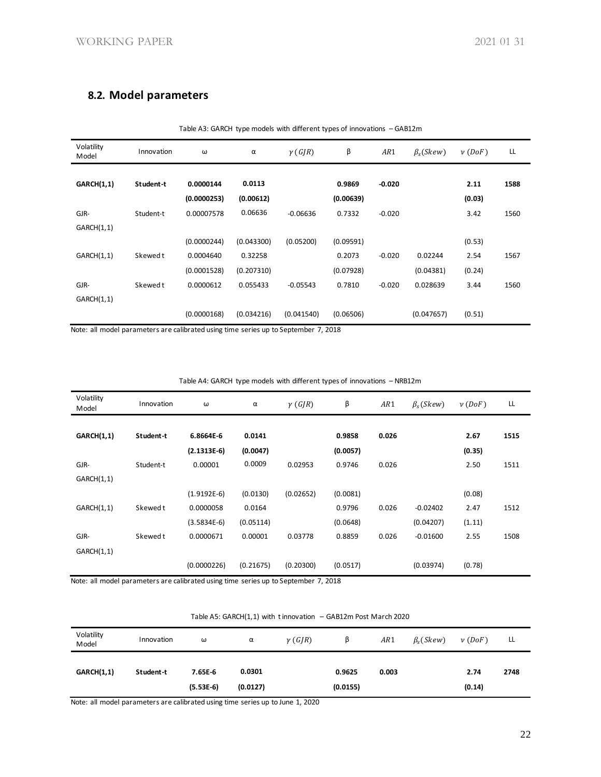## **8.2. Model parameters**

| Volatility<br>Model | Innovation | ω           | α          | $\gamma(G/R)$ | β         | AR1      | $\beta_{s}$ (Skew) | $\nu$ (DoF) | LL   |
|---------------------|------------|-------------|------------|---------------|-----------|----------|--------------------|-------------|------|
| <b>GARCH(1,1)</b>   | Student-t  | 0.0000144   | 0.0113     |               | 0.9869    | $-0.020$ |                    | 2.11        | 1588 |
|                     |            | (0.0000253) | (0.00612)  |               | (0.00639) |          |                    | (0.03)      |      |
| GJR-                | Student-t  | 0.00007578  | 0.06636    | $-0.06636$    | 0.7332    | $-0.020$ |                    | 3.42        | 1560 |
| GARCH(1,1)          |            |             |            |               |           |          |                    |             |      |
|                     |            | (0.0000244) | (0.043300) | (0.05200)     | (0.09591) |          |                    | (0.53)      |      |
| GARCH(1,1)          | Skewed t   | 0.0004640   | 0.32258    |               | 0.2073    | $-0.020$ | 0.02244            | 2.54        | 1567 |
|                     |            | (0.0001528) | (0.207310) |               | (0.07928) |          | (0.04381)          | (0.24)      |      |
| GJR-                | Skewed t   | 0.0000612   | 0.055433   | $-0.05543$    | 0.7810    | $-0.020$ | 0.028639           | 3.44        | 1560 |
| GARCH(1,1)          |            |             |            |               |           |          |                    |             |      |
|                     |            | (0.0000168) | (0.034216) | (0.041540)    | (0.06506) |          | (0.047657)         | (0.51)      |      |

Table A3: GARCH type models with different types of innovations – GAB12m

Note: all model parameters are calibrated using time series up to September 7, 2018

| Volatility<br>Model | Innovation | ω             | α         | $\gamma(GJR)$ | β        | AR1   | $\beta_{s}$ ( <i>Skew</i> ) | $\nu$ (DoF) | LL   |
|---------------------|------------|---------------|-----------|---------------|----------|-------|-----------------------------|-------------|------|
|                     |            |               |           |               |          |       |                             |             |      |
| <b>GARCH(1,1)</b>   | Student-t  | 6.8664E-6     | 0.0141    |               | 0.9858   | 0.026 |                             | 2.67        | 1515 |
|                     |            | $(2.1313E-6)$ | (0.0047)  |               | (0.0057) |       |                             | (0.35)      |      |
| GJR-                | Student-t  | 0.00001       | 0.0009    | 0.02953       | 0.9746   | 0.026 |                             | 2.50        | 1511 |
| GARCH(1,1)          |            |               |           |               |          |       |                             |             |      |
|                     |            | $(1.9192E-6)$ | (0.0130)  | (0.02652)     | (0.0081) |       |                             | (0.08)      |      |
| GARCH(1,1)          | Skewed t   | 0.0000058     | 0.0164    |               | 0.9796   | 0.026 | $-0.02402$                  | 2.47        | 1512 |
|                     |            | $(3.5834E-6)$ | (0.05114) |               | (0.0648) |       | (0.04207)                   | (1.11)      |      |
| GJR-                | Skewed t   | 0.0000671     | 0.00001   | 0.03778       | 0.8859   | 0.026 | $-0.01600$                  | 2.55        | 1508 |
| GARCH(1,1)          |            |               |           |               |          |       |                             |             |      |
|                     |            | (0.0000226)   | (0.21675) | (0.20300)     | (0.0517) |       | (0.03974)                   | (0.78)      |      |

Table A4: GARCH type models with different types of innovations – NRB12m

Note: all model parameters are calibrated using time series up to September 7, 2018

| Table A5: GARCH $(1,1)$ with tinnovation - GAB12m Post March 2020 |  |
|-------------------------------------------------------------------|--|
|-------------------------------------------------------------------|--|

| Volatility<br>Model | Innovation | ω                      | α                  | $\gamma(G/R)$ | ß                  | AR1   | $\beta_{s}$ (Skew) | $\nu$ (DoF)    | LL   |
|---------------------|------------|------------------------|--------------------|---------------|--------------------|-------|--------------------|----------------|------|
| <b>GARCH(1,1)</b>   | Student t  | 7.65E 6<br>$(5.53E-6)$ | 0.0301<br>(0.0127) |               | 0.9625<br>(0.0155) | 0.003 |                    | 2.74<br>(0.14) | 2748 |

Note: all model parameters are calibrated using time series up to June 1, 2020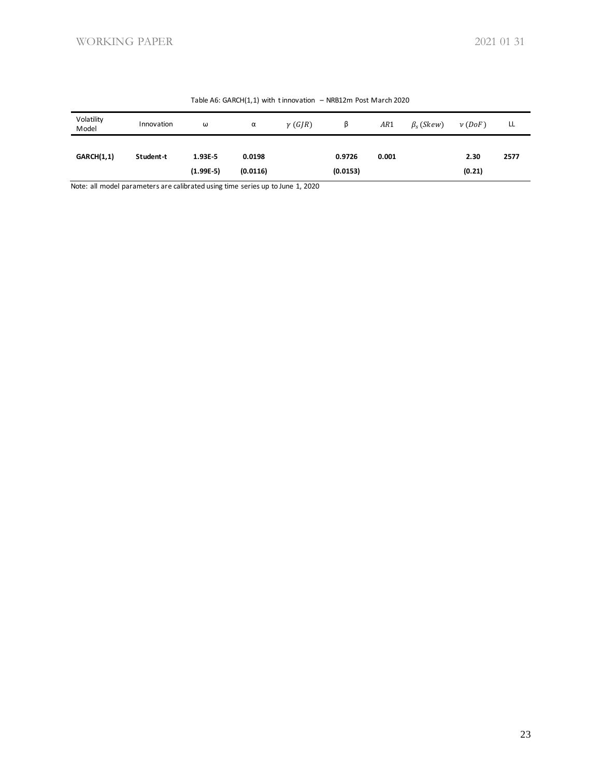| Volatility<br>Model | Innovation | ω                      | α                  | $\gamma(G/R)$ |                    | AR1   | $\beta_{s}$ (Skew) | $\nu$ (DoF)    | LL   |
|---------------------|------------|------------------------|--------------------|---------------|--------------------|-------|--------------------|----------------|------|
| <b>GARCH(1,1)</b>   | Student t  | 1.93E-5<br>$(1.99E-5)$ | 0.0198<br>(0.0116) |               | 0.9726<br>(0.0153) | 0.001 |                    | 2.30<br>(0.21) | 2577 |

#### Table A6: GARCH(1,1) with t innovation – NRB12m Post March 2020

Note: all model parameters are calibrated using time series up to June 1, 2020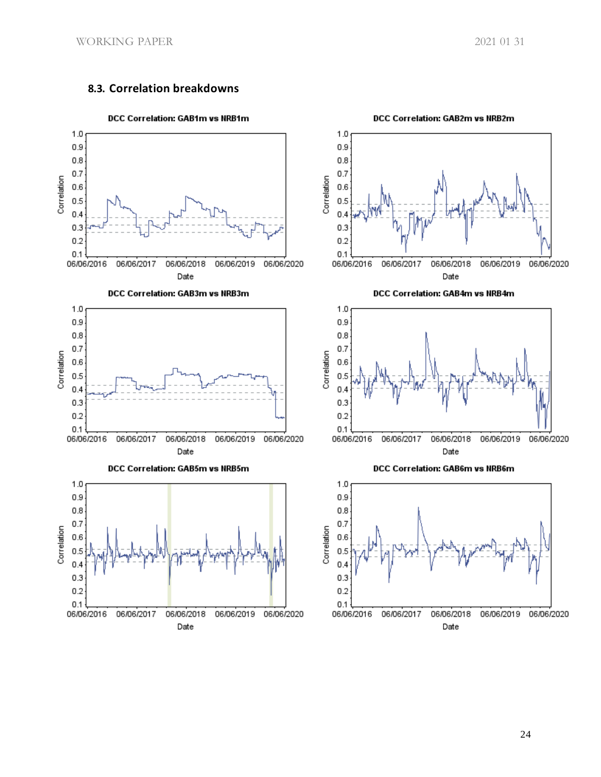### **8.3. Correlation breakdowns**













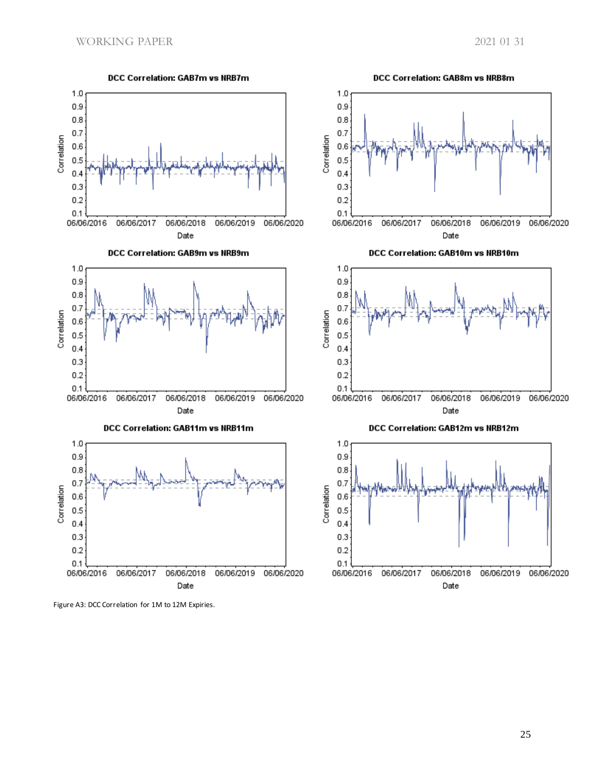

Figure A3: DCC Correlation for 1M to 12M Expiries.